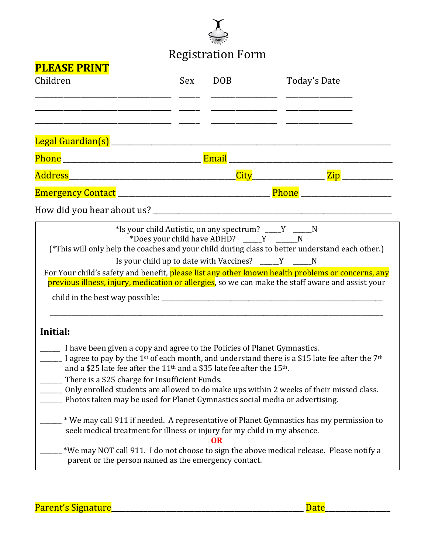

## Registration Form

| <u>і пелје і іміч і</u><br>Children                                                                                                                                                                                                                                                                                   | Sex | <b>DOB</b> | Today's Date                                                                                                                                                                                                        |
|-----------------------------------------------------------------------------------------------------------------------------------------------------------------------------------------------------------------------------------------------------------------------------------------------------------------------|-----|------------|---------------------------------------------------------------------------------------------------------------------------------------------------------------------------------------------------------------------|
| <u> 1980 - Jan Barbara Barat, martin da shekara 1980 - André Barbara a San A</u>                                                                                                                                                                                                                                      |     |            |                                                                                                                                                                                                                     |
| <u> 2000 - Jan Barnett, mars and de la partie de la partie de la partie de la partie de la partie de la partie d</u>                                                                                                                                                                                                  |     |            |                                                                                                                                                                                                                     |
|                                                                                                                                                                                                                                                                                                                       |     |            |                                                                                                                                                                                                                     |
|                                                                                                                                                                                                                                                                                                                       |     |            |                                                                                                                                                                                                                     |
|                                                                                                                                                                                                                                                                                                                       |     |            |                                                                                                                                                                                                                     |
|                                                                                                                                                                                                                                                                                                                       |     |            |                                                                                                                                                                                                                     |
|                                                                                                                                                                                                                                                                                                                       |     |            |                                                                                                                                                                                                                     |
|                                                                                                                                                                                                                                                                                                                       |     |            | For Your child's safety and benefit, please list any other known health problems or concerns, any<br>previous illness, injury, medication or allergies, so we can make the staff aware and assist your              |
| Initial:                                                                                                                                                                                                                                                                                                              |     |            |                                                                                                                                                                                                                     |
| ________ I have been given a copy and agree to the Policies of Planet Gymnastics.<br>and a \$25 late fee after the 11 <sup>th</sup> and a \$35 late fee after the 15 <sup>th</sup> .<br>There is a \$25 charge for Insufficient Funds.<br>Photos taken may be used for Planet Gymnastics social media or advertising. |     |            | $\frac{1}{2}$ I agree to pay by the 1st of each month, and understand there is a \$15 late fee after the 7 <sup>th</sup><br>Only enrolled students are allowed to do make ups within 2 weeks of their missed class. |
| seek medical treatment for illness or injury for my child in my absence.                                                                                                                                                                                                                                              |     | <u>OR</u>  | * We may call 911 if needed. A representative of Planet Gymnastics has my permission to<br>*We may NOT call 911. I do not choose to sign the above medical release. Please notify a                                 |
| parent or the person named as the emergency contact.                                                                                                                                                                                                                                                                  |     |            |                                                                                                                                                                                                                     |

Parent's Signature\_\_\_\_\_\_\_\_\_\_\_\_\_\_\_\_\_\_\_\_\_\_\_\_\_\_\_\_\_\_\_\_\_\_\_\_\_\_\_\_\_\_\_\_\_\_\_\_\_\_\_\_\_ Date\_\_\_\_\_\_\_\_\_\_\_\_\_\_\_\_\_\_

**PLEASE PRINT**